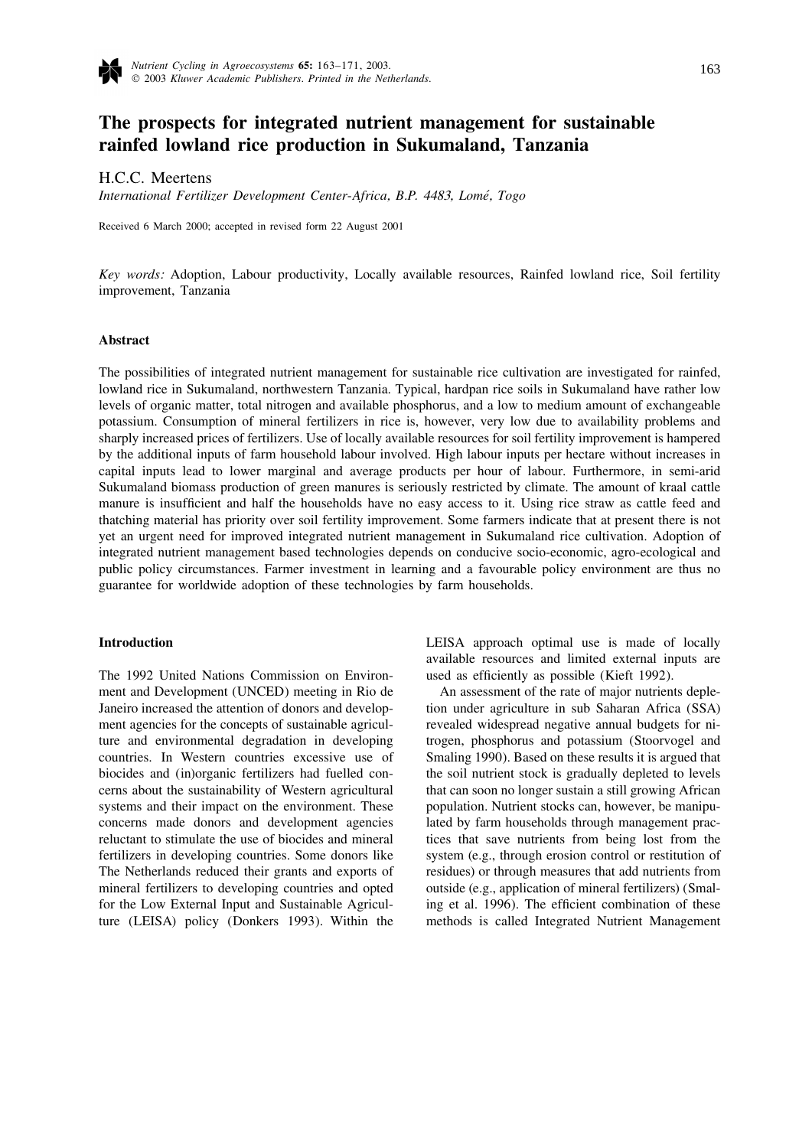

# **The prospects for integrated nutrient management for sustainable rainfed lowland rice production in Sukumaland, Tanzania**

H.C.C. Meertens

*International Fertilizer Development Center*-*Africa*, *B*.*P*. 4483, *Lome´*, *Togo*

Received 6 March 2000; accepted in revised form 22 August 2001

*Key words*: Adoption, Labour productivity, Locally available resources, Rainfed lowland rice, Soil fertility improvement, Tanzania

## **Abstract**

The possibilities of integrated nutrient management for sustainable rice cultivation are investigated for rainfed, lowland rice in Sukumaland, northwestern Tanzania. Typical, hardpan rice soils in Sukumaland have rather low levels of organic matter, total nitrogen and available phosphorus, and a low to medium amount of exchangeable potassium. Consumption of mineral fertilizers in rice is, however, very low due to availability problems and sharply increased prices of fertilizers. Use of locally available resources for soil fertility improvement is hampered by the additional inputs of farm household labour involved. High labour inputs per hectare without increases in capital inputs lead to lower marginal and average products per hour of labour. Furthermore, in semi-arid Sukumaland biomass production of green manures is seriously restricted by climate. The amount of kraal cattle manure is insufficient and half the households have no easy access to it. Using rice straw as cattle feed and thatching material has priority over soil fertility improvement. Some farmers indicate that at present there is not yet an urgent need for improved integrated nutrient management in Sukumaland rice cultivation. Adoption of integrated nutrient management based technologies depends on conducive socio-economic, agro-ecological and public policy circumstances. Farmer investment in learning and a favourable policy environment are thus no guarantee for worldwide adoption of these technologies by farm households.

The 1992 United Nations Commission on Environ- used as efficiently as possible (Kieft 1992). ment and Development (UNCED) meeting in Rio de An assessment of the rate of major nutrients deple-Janeiro increased the attention of donors and develop- tion under agriculture in sub Saharan Africa (SSA) ment agencies for the concepts of sustainable agricul-<br>revealed widespread negative annual budgets for niture and environmental degradation in developing trogen, phosphorus and potassium (Stoorvogel and countries. In Western countries excessive use of Smaling 1990). Based on these results it is argued that biocides and (in)organic fertilizers had fuelled con- the soil nutrient stock is gradually depleted to levels cerns about the sustainability of Western agricultural that can soon no longer sustain a still growing African systems and their impact on the environment. These population. Nutrient stocks can, however, be manipuconcerns made donors and development agencies lated by farm households through management pracreluctant to stimulate the use of biocides and mineral tices that save nutrients from being lost from the fertilizers in developing countries. Some donors like system (e.g., through erosion control or restitution of The Netherlands reduced their grants and exports of residues) or through measures that add nutrients from mineral fertilizers to developing countries and opted outside (e.g., application of mineral fertilizers) (Smalfor the Low External Input and Sustainable Agricul- ing et al. 1996). The efficient combination of these

**Introduction Introduction LEISA** approach optimal use is made of locally available resources and limited external inputs are

ture (LEISA) policy (Donkers 1993). Within the methods is called Integrated Nutrient Management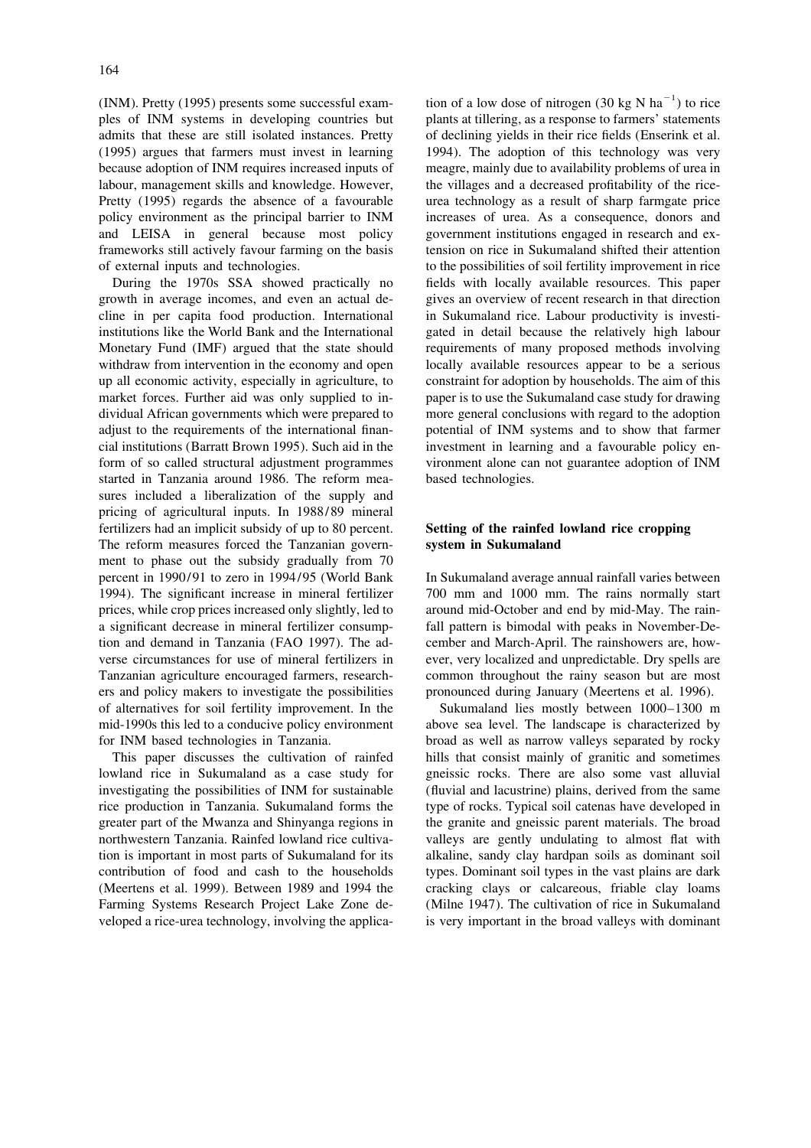ples of INM systems in developing countries but plants at tillering, as a response to farmers' statements admits that these are still isolated instances. Pretty of declining yields in their rice fields (Enserink et al. (1995) argues that farmers must invest in learning 1994). The adoption of this technology was very because adoption of INM requires increased inputs of meagre, mainly due to availability problems of urea in labour, management skills and knowledge. However, the villages and a decreased profitability of the rice-Pretty (1995) regards the absence of a favourable urea technology as a result of sharp farmgate price policy environment as the principal barrier to INM increases of urea. As a consequence, donors and and LEISA in general because most policy government institutions engaged in research and exframeworks still actively favour farming on the basis tension on rice in Sukumaland shifted their attention of external inputs and technologies. to the possibilities of soil fertility improvement in rice

growth in average incomes, and even an actual de- gives an overview of recent research in that direction cline in per capita food production. International in Sukumaland rice. Labour productivity is investiinstitutions like the World Bank and the International gated in detail because the relatively high labour Monetary Fund (IMF) argued that the state should requirements of many proposed methods involving withdraw from intervention in the economy and open locally available resources appear to be a serious up all economic activity, especially in agriculture, to constraint for adoption by households. The aim of this market forces. Further aid was only supplied to in-<br>paper is to use the Sukumaland case study for drawing dividual African governments which were prepared to more general conclusions with regard to the adoption adjust to the requirements of the international finan- potential of INM systems and to show that farmer cial institutions (Barratt Brown 1995). Such aid in the investment in learning and a favourable policy enform of so called structural adjustment programmes vironment alone can not guarantee adoption of INM started in Tanzania around 1986. The reform mea- based technologies. sures included a liberalization of the supply and pricing of agricultural inputs. In 1988/89 mineral fertilizers had an implicit subsidy of up to 80 percent. **Setting of the rainfed lowland rice cropping** The reform measures forced the Tanzanian govern- **system in Sukumaland** ment to phase out the subsidy gradually from 70 percent in 1990/91 to zero in 1994/95 (World Bank In Sukumaland average annual rainfall varies between 1994). The significant increase in mineral fertilizer 700 mm and 1000 mm. The rains normally start prices, while crop prices increased only slightly, led to around mid-October and end by mid-May. The raina significant decrease in mineral fertilizer consump- fall pattern is bimodal with peaks in November-Detion and demand in Tanzania (FAO 1997). The ad- cember and March-April. The rainshowers are, howverse circumstances for use of mineral fertilizers in ever, very localized and unpredictable. Dry spells are Tanzanian agriculture encouraged farmers, research- common throughout the rainy season but are most ers and policy makers to investigate the possibilities pronounced during January (Meertens et al. 1996). of alternatives for soil fertility improvement. In the Sukumaland lies mostly between 1000–1300 m mid-1990s this led to a conducive policy environment above sea level. The landscape is characterized by for INM based technologies in Tanzania. broad as well as narrow valleys separated by rocky

lowland rice in Sukumaland as a case study for gneissic rocks. There are also some vast alluvial investigating the possibilities of INM for sustainable (fluvial and lacustrine) plains, derived from the same rice production in Tanzania. Sukumaland forms the type of rocks. Typical soil catenas have developed in greater part of the Mwanza and Shinyanga regions in the granite and gneissic parent materials. The broad northwestern Tanzania. Rainfed lowland rice cultiva- valleys are gently undulating to almost flat with tion is important in most parts of Sukumaland for its alkaline, sandy clay hardpan soils as dominant soil contribution of food and cash to the households types. Dominant soil types in the vast plains are dark (Meertens et al. 1999). Between 1989 and 1994 the cracking clays or calcareous, friable clay loams Farming Systems Research Project Lake Zone de- (Milne 1947). The cultivation of rice in Sukumaland veloped a rice-urea technology, involving the applica- is very important in the broad valleys with dominant

(INM). Pretty (1995) presents some successful exam-<br>tion of a low dose of nitrogen (30 kg N ha<sup>-1</sup>) to rice During the 1970s SSA showed practically no fields with locally available resources. This paper

This paper discusses the cultivation of rainfed hills that consist mainly of granitic and sometimes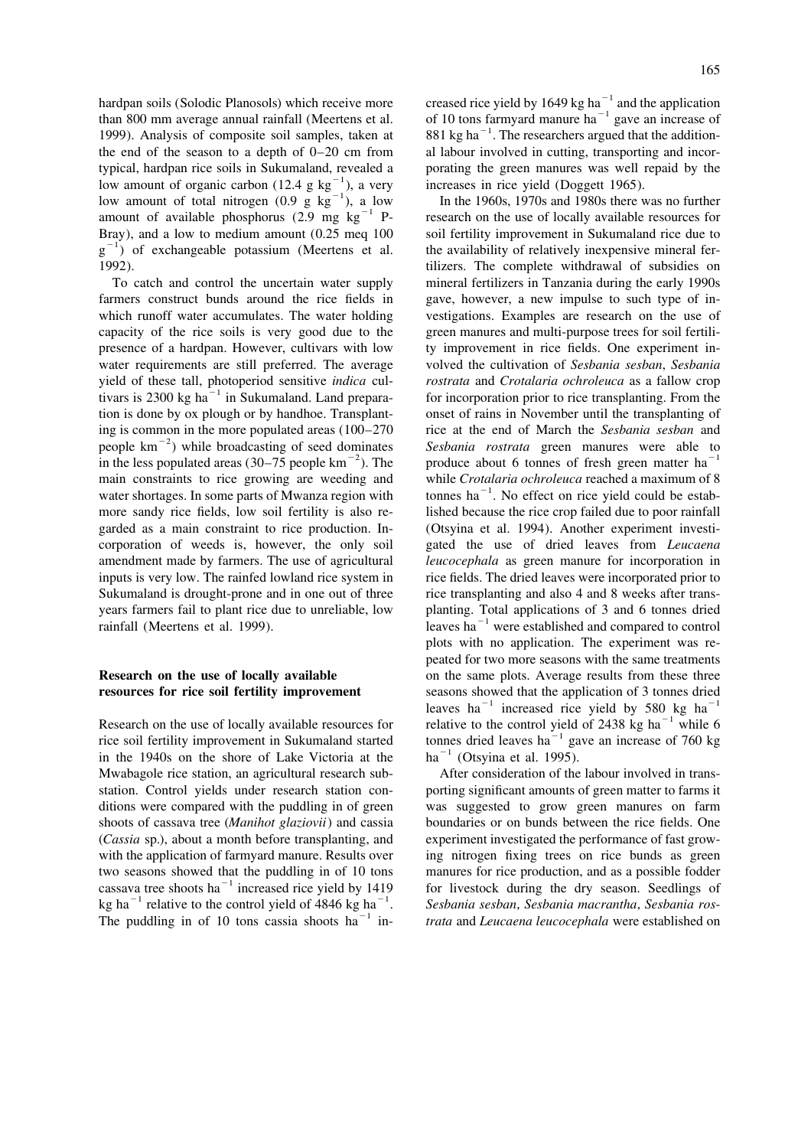the end of the season to a depth of 0–20 cm from al labour involved in cutting, transporting and incortypical, hardpan rice soils in Sukumaland, revealed a porating the green manures was well repaid by the low amount of organic carbon (12.4 g kg<sup>-1</sup>), a very lincreases in rice yield (Doggett 1965).<br>
low amount of total ni Bray), and a low to medium amount (0.25 meq 100 soil fertility improvement in Sukumaland rice due to  $g^{-1}$ ) of exchangeable potassium (Meertens et al. the availability of relatively inexpensive mineral fer-1992). tilizers. The complete withdrawal of subsidies on

farmers construct bunds around the rice fields in gave, however, a new impulse to such type of inwhich runoff water accumulates. The water holding vestigations. Examples are research on the use of capacity of the rice soils is very good due to the green manures and multi-purpose trees for soil fertilipresence of a hardpan. However, cultivars with low ty improvement in rice fields. One experiment inwater requirements are still preferred. The average volved the cultivation of *Sesbania sesban*, *Sesbania* yield of these tall, photoperiod sensitive *indica* cul-<br>tivars is 2300 kg ha<sup> $-1$ </sup> in Sukumaland. Land prepara-<br>for incorporation prior to rice transplanting. From the tion is done by ox plough or by handhoe. Transplant- onset of rains in November until the transplanting of ing is common in the more populated areas  $(100-270)$  rice at the end of March the *Sesbania sesban* and people km<sup>-2</sup>) while broadcasting of seed dominates *Sesbania rostrata* green manures were able to in the less popul main constraints to rice growing are weeding and while *Crotalaria ochroleuca* reached a maximum of 8 water shortages. In some parts of Mwanza region with tonnes ha<sup>-1</sup>. No effect on rice yield could be estabmore sandy rice fields, low soil fertility is also re- lished because the rice crop failed due to poor rainfall garded as a main constraint to rice production. In- (Otsyina et al. 1994). Another experiment investicorporation of weeds is, however, the only soil gated the use of dried leaves from *Leucaena* amendment made by farmers. The use of agricultural *leucocephala* as green manure for incorporation in inputs is very low. The rainfed lowland rice system in rice fields. The dried leaves were incorporated prior to Sukumaland is drought-prone and in one out of three rice transplanting and also 4 and 8 weeks after transyears farmers fail to plant rice due to unreliable, low planting. Total applications of 3 and 6 tonnes dried rainfall (Meertens et al. 1999). leaves ha<sup>-1</sup> were established and compared to control

Mwabagole rice station, an agricultural research sub- After consideration of the labour involved in transditions were compared with the puddling in of green was suggested to grow green manures on farm shoots of cassava tree (*Manihot glaziovii*) and cassia boundaries or on bunds between the rice fields. One (*Cassia* sp.), about a month before transplanting, and experiment investigated the performance of fast growwith the application of farmyard manure. Results over ing nitrogen fixing trees on rice bunds as green

hardpan soils (Solodic Planosols) which receive more creased rice yield by 1649 kg ha<sup>-1</sup> and the application than 800 mm average annual rainfall (Meertens et al. of 10 tons farmyard manure ha<sup>-1</sup> gave an increase of 1999

To catch and control the uncertain water supply mineral fertilizers in Tanzania during the early 1990s plots with no application. The experiment was repeated for two more seasons with the same treatments **Research on the use of locally available** on the same plots. Average results from these three **resources for rice soil fertility improvement** seasons showed that the application of 3 tonnes dried<br>
leaves  $ha^{-1}$  increased rice yield by 580 kg  $ha^{-1}$ <br>
Research on the use of locally available resources for relative t

station. Control yields under research station con- porting significant amounts of green matter to farms it two seasons showed that the puddling in of 10 tons manures for rice production, and as a possible fodder cassava tree shoots ha<sup>-1</sup> increased rice yield by 1419 for livestock during the dry season. Seedlings of kg ha<sup>-1</sup>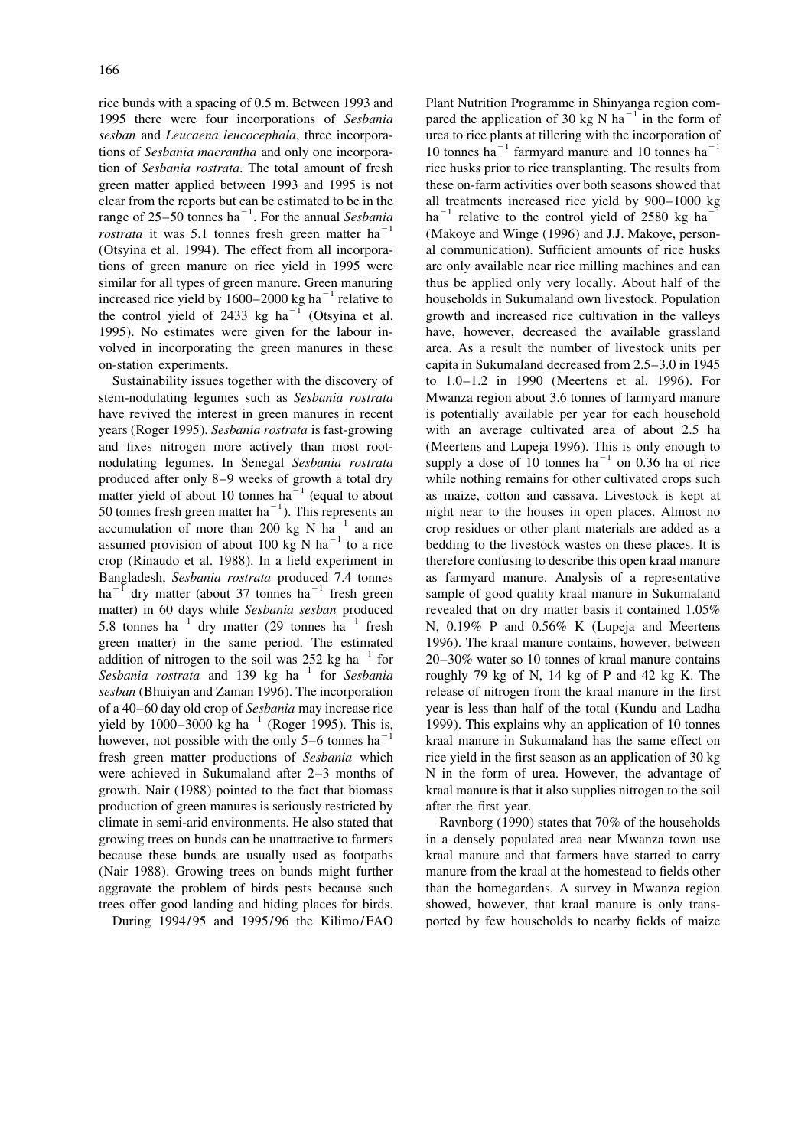rice bunds with a spacing of 0.5 m. Between 1993 and Plant Nutrition Programme in Shinyanga region com-<br>1995 there were four incorporations of *Sesbania* pared the application of 30 kg N ha<sup>-1</sup> in the form of sesban and Leucaena leucocephala, three incorpora-<br>tions of Sesbania macrantha and only one incorpora-<br>10 tonnes ha<sup>-1</sup> farmyard manure and 10 tonnes ha<sup>-1</sup> tion of *Sesbania rostrata*. The total amount of fresh rice husks prior to rice transplanting. The results from green matter applied between 1993 and 1995 is not these on-farm activities over both seasons showed that clear from the reports but can be estimated to be in the all treatments increased rice yield by 900–1000 kg<br>range of 25–50 tonnes ha<sup>-1</sup>. For the annual *Sesbania* ha<sup>-1</sup> relative to the control yield of 2580 kg ha<sup>-1</sup> ro (Otsyina et al. 1994). The effect from all incorpora- al communication). Sufficient amounts of rice husks tions of green manure on rice yield in 1995 were are only available near rice milling machines and can similar for all types of green manure. Green manuring thus be applied only very locally. About half of the increased rice yield by 1600–2000 kg ha<sup>-1</sup> relative to thouseholds in Sukumaland own livestock. Population the co 1995). No estimates were given for the labour in- have, however, decreased the available grassland volved in incorporating the green manures in these area. As a result the number of livestock units per

stem-nodulating legumes such as *Sesbania rostrata* Mwanza region about 3.6 tonnes of farmyard manure have revived the interest in green manures in recent is potentially available per year for each household years (Roger 1995). *Sesbania rostrata* is fast-growing with an average cultivated area of about 2.5 ha and fixes nitrogen more actively than most root-<br>
(Meertens and Lupeja 1996). This is only enough to 10 nodulating legumes. In Senegal *Sesbania rostrata* supply a dose of 10 tonnes ha<sup>-1</sup> on 0.36 ha of rice produced after only 8–9 weeks of growth a total dry<br>matter yield of about 10 tonnes ha<sup>-1</sup> (equal to about<br>50 tonnes fresh green matter ha<sup>-1</sup>). This represents an inight near to the houses in open places. Almost no<br>accum crop (Rinaudo et al. 1988). In a field experiment in therefore confusing to describe this open kraal manure Bangladesh, *Sesbania rostrata* produced 7.4 tonnes as farmyard manure. Analysis of a representative ha<sup>-1</sup> dry matter (about 37 tonnes ha<sup>-1</sup> fresh green sample of good quality kraal manure in Sukumaland matter) in 60 day matter) in 60 days while *Sesbania sesban* produced revealed that on dry matter basis it contained 1.05% 5.8 tonnes ha<sup> $-1$ </sup> dry matter (29 tonnes ha<sup> $-1$ </sup> fresh N, 0.19% P and 0.56% K (Lupeja and Meertens green matter) in the same period. The estimated 1996). The kraal manure contains, however, between addition of nitrogen to the soil was 252 kg ha<sup>-1</sup> for 20-30% water so 10 tonnes of kraal manure contains *Sesbania rostra sesban* (Bhuiyan and Zaman 1996). The incorporation release of nitrogen from the kraal manure in the first of a 40–60 day old crop of *Sesbania* may increase rice year is less than half of the total (Kundu and Ladha yield by 1000–3000 kg ha<sup>-1</sup> (Roger 1995). This is, 1999). This explains why an application of 10 tonnes however fresh green matter productions of *Sesbania* which rice yield in the first season as an application of 30 kg were achieved in Sukumaland after  $2-3$  months of N in the form of urea. However, the advantage of growth. Nair (1988) pointed to the fact that biomass kraal manure is that it also supplies nitrogen to the soil production of green manures is seriously restricted by after the first year. climate in semi-arid environments. He also stated that Ravnborg (1990) states that 70% of the households because these bunds are usually used as footpaths kraal manure and that farmers have started to carry (Nair 1988). Growing trees on bunds might further manure from the kraal at the homestead to fields other aggravate the problem of birds pests because such than the homegardens. A survey in Mwanza region trees offer good landing and hiding places for birds. showed, however, that kraal manure is only trans-

on-station experiments. capita in Sukumaland decreased from 2.5–3.0 in 1945 Sustainability issues together with the discovery of to  $1.0-1.2$  in 1990 (Meertens et al. 1996). For

growing trees on bunds can be unattractive to farmers in a densely populated area near Mwanza town use During 1994/95 and 1995/96 the Kilimo/FAO ported by few households to nearby fields of maize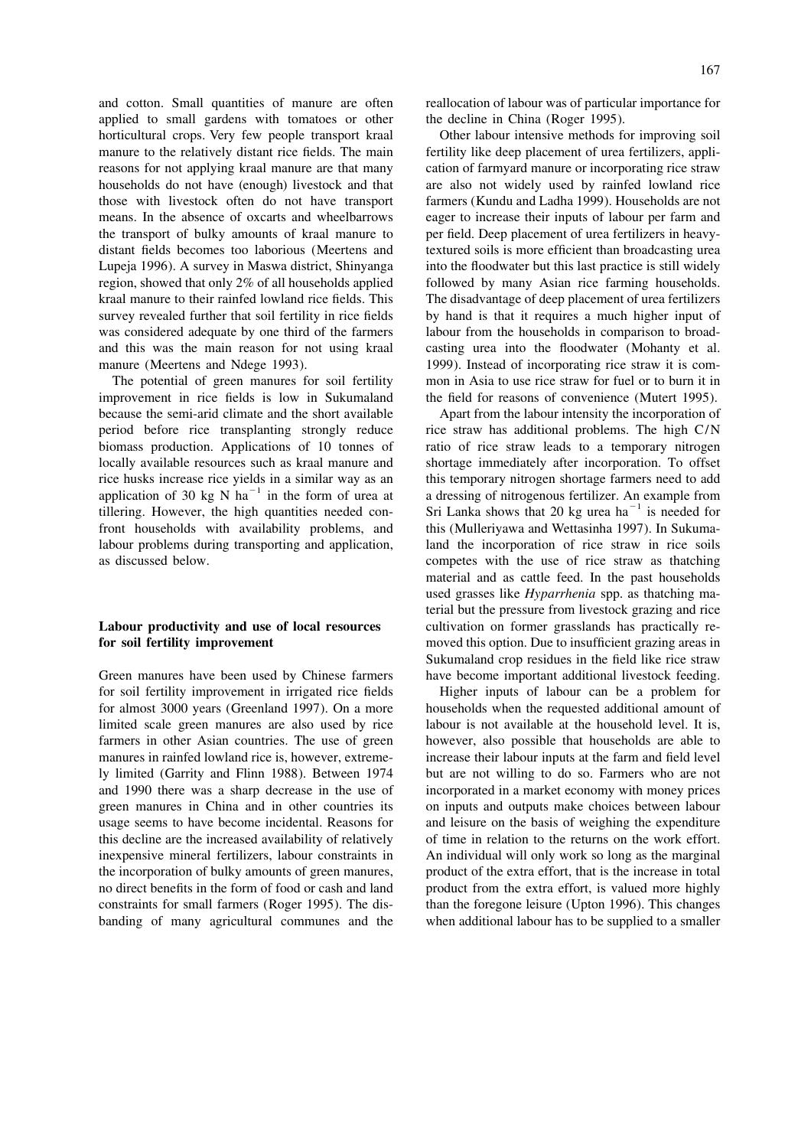applied to small gardens with tomatoes or other the decline in China (Roger 1995). horticultural crops. Very few people transport kraal Other labour intensive methods for improving soil manure to the relatively distant rice fields. The main fertility like deep placement of urea fertilizers, applireasons for not applying kraal manure are that many cation of farmyard manure or incorporating rice straw households do not have (enough) livestock and that are also not widely used by rainfed lowland rice those with livestock often do not have transport farmers (Kundu and Ladha 1999). Households are not means. In the absence of oxcarts and wheelbarrows eager to increase their inputs of labour per farm and the transport of bulky amounts of kraal manure to per field. Deep placement of urea fertilizers in heavydistant fields becomes too laborious (Meertens and textured soils is more efficient than broadcasting urea Lupeja 1996). A survey in Maswa district, Shinyanga into the floodwater but this last practice is still widely region, showed that only 2% of all households applied followed by many Asian rice farming households. kraal manure to their rainfed lowland rice fields. This The disadvantage of deep placement of urea fertilizers survey revealed further that soil fertility in rice fields by hand is that it requires a much higher input of was considered adequate by one third of the farmers labour from the households in comparison to broadand this was the main reason for not using kraal casting urea into the floodwater (Mohanty et al.

improvement in rice fields is low in Sukumaland the field for reasons of convenience (Mutert 1995). because the semi-arid climate and the short available Apart from the labour intensity the incorporation of period before rice transplanting strongly reduce rice straw has additional problems. The high C/N biomass production. Applications of 10 tonnes of ratio of rice straw leads to a temporary nitrogen locally available resources such as kraal manure and shortage immediately after incorporation. To offset rice husks increase rice yields in a similar way as an this temporary nitrogen shortage farmers need to add application of 30 kg N  $\text{ha}^{-1}$  in the form of urea at a dressing of nitrogenous fertilizer. An example from ti front households with availability problems, and this (Mulleriyawa and Wettasinha 1997). In Sukumalabour problems during transporting and application, land the incorporation of rice straw in rice soils as discussed below. competes with the use of rice straw as thatching

for soil fertility improvement in irrigated rice fields Higher inputs of labour can be a problem for for almost 3000 years (Greenland 1997). On a more households when the requested additional amount of limited scale green manures are also used by rice labour is not available at the household level. It is, farmers in other Asian countries. The use of green however, also possible that households are able to manures in rainfed lowland rice is, however, extreme- increase their labour inputs at the farm and field level ly limited (Garrity and Flinn 1988). Between 1974 but are not willing to do so. Farmers who are not and 1990 there was a sharp decrease in the use of incorporated in a market economy with money prices green manures in China and in other countries its on inputs and outputs make choices between labour usage seems to have become incidental. Reasons for and leisure on the basis of weighing the expenditure this decline are the increased availability of relatively of time in relation to the returns on the work effort. inexpensive mineral fertilizers, labour constraints in An individual will only work so long as the marginal the incorporation of bulky amounts of green manures, product of the extra effort, that is the increase in total no direct benefits in the form of food or cash and land product from the extra effort, is valued more highly constraints for small farmers (Roger 1995). The dis- than the foregone leisure (Upton 1996). This changes banding of many agricultural communes and the when additional labour has to be supplied to a smaller

and cotton. Small quantities of manure are often reallocation of labour was of particular importance for

manure (Meertens and Ndege 1993). 1999). Instead of incorporating rice straw it is com-The potential of green manures for soil fertility mon in Asia to use rice straw for fuel or to burn it in

material and as cattle feed. In the past households used grasses like *Hyparrhenia* spp. as thatching material but the pressure from livestock grazing and rice **Labour productivity and use of local resources** cultivation on former grasslands has practically re**for soil fertility improvement** moved this option. Due to insufficient grazing areas in Sukumaland crop residues in the field like rice straw Green manures have been used by Chinese farmers have become important additional livestock feeding.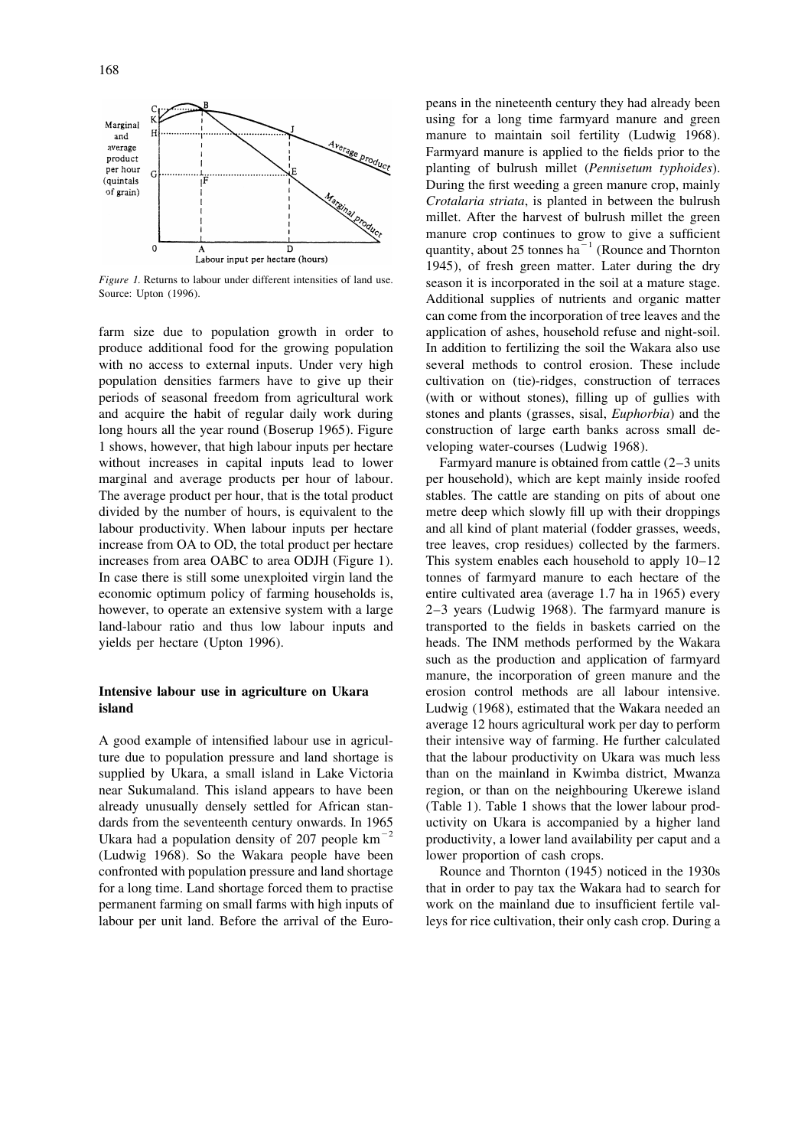

produce additional food for the growing population In addition to fertilizing the soil the Wakara also use with no access to external inputs. Under very high several methods to control erosion. These include population densities farmers have to give up their cultivation on (tie)-ridges, construction of terraces periods of seasonal freedom from agricultural work (with or without stones), filling up of gullies with and acquire the habit of regular daily work during stones and plants (grasses, sisal, *Euphorbia*) and the long hours all the year round (Boserup 1965). Figure construction of large earth banks across small de-1 shows, however, that high labour inputs per hectare veloping water-courses (Ludwig 1968). without increases in capital inputs lead to lower Farmyard manure is obtained from cattle  $(2-3)$  units marginal and average products per hour of labour. per household), which are kept mainly inside roofed The average product per hour, that is the total product stables. The cattle are standing on pits of about one divided by the number of hours, is equivalent to the metre deep which slowly fill up with their droppings labour productivity. When labour inputs per hectare and all kind of plant material (fodder grasses, weeds, increase from OA to OD, the total product per hectare tree leaves, crop residues) collected by the farmers. increases from area OABC to area ODJH (Figure 1). This system enables each household to apply 10–12 In case there is still some unexploited virgin land the tonnes of farmyard manure to each hectare of the economic optimum policy of farming households is, entire cultivated area (average 1.7 ha in 1965) every however, to operate an extensive system with a large  $2-3$  years (Ludwig 1968). The farmyard manure is land-labour ratio and thus low labour inputs and transported to the fields in baskets carried on the

ture due to population pressure and land shortage is that the labour productivity on Ukara was much less supplied by Ukara, a small island in Lake Victoria than on the mainland in Kwimba district, Mwanza near Sukumaland. This island appears to have been region, or than on the neighbouring Ukerewe island already unusually densely settled for African stan- (Table 1). Table 1 shows that the lower labour proddards from the seventeenth century onwards. In 1965 uctivity on Ukara is accompanied by a higher land Ukara had a population density of 207 people km<sup>-2</sup> productivity, a lower land availability per caput and a (Ludwig 1968). So the Wakara people have been lower proportion of cash crops. confronted with population pressure and land shortage Rounce and Thornton (1945) noticed in the 1930s for a long time. Land shortage forced them to practise that in order to pay tax the Wakara had to search for permanent farming on small farms with high inputs of work on the mainland due to insufficient fertile vallabour per unit land. Before the arrival of the Euro- leys for rice cultivation, their only cash crop. During a

peans in the nineteenth century they had already been using for a long time farmyard manure and green manure to maintain soil fertility (Ludwig 1968). Farmyard manure is applied to the fields prior to the planting of bulrush millet (*Pennisetum typhoides*). During the first weeding a green manure crop, mainly *Crotalaria striata*, is planted in between the bulrush millet. After the harvest of bulrush millet the green manure crop continues to grow to give a sufficient quantity, about 25 tonnes ha<sup> $-1$ </sup> (Rounce and Thornton 1945), of fresh green matter. Later during the dry *Figure 1.* Returns to labour under different intensities of land use. season it is incorporated in the soil at a mature stage.<br>Source: Upton (1996). Additional supplies of nutrients and organic matter can come from the incorporation of tree leaves and the farm size due to population growth in order to application of ashes, household refuse and night-soil.

yields per hectare (Upton 1996). heads. The INM methods performed by the Wakara such as the production and application of farmyard manure, the incorporation of green manure and the **Intensive labour use in agriculture on Ukara** erosion control methods are all labour intensive. **island** Ludwig (1968), estimated that the Wakara needed an average 12 hours agricultural work per day to perform A good example of intensified labour use in agricul- their intensive way of farming. He further calculated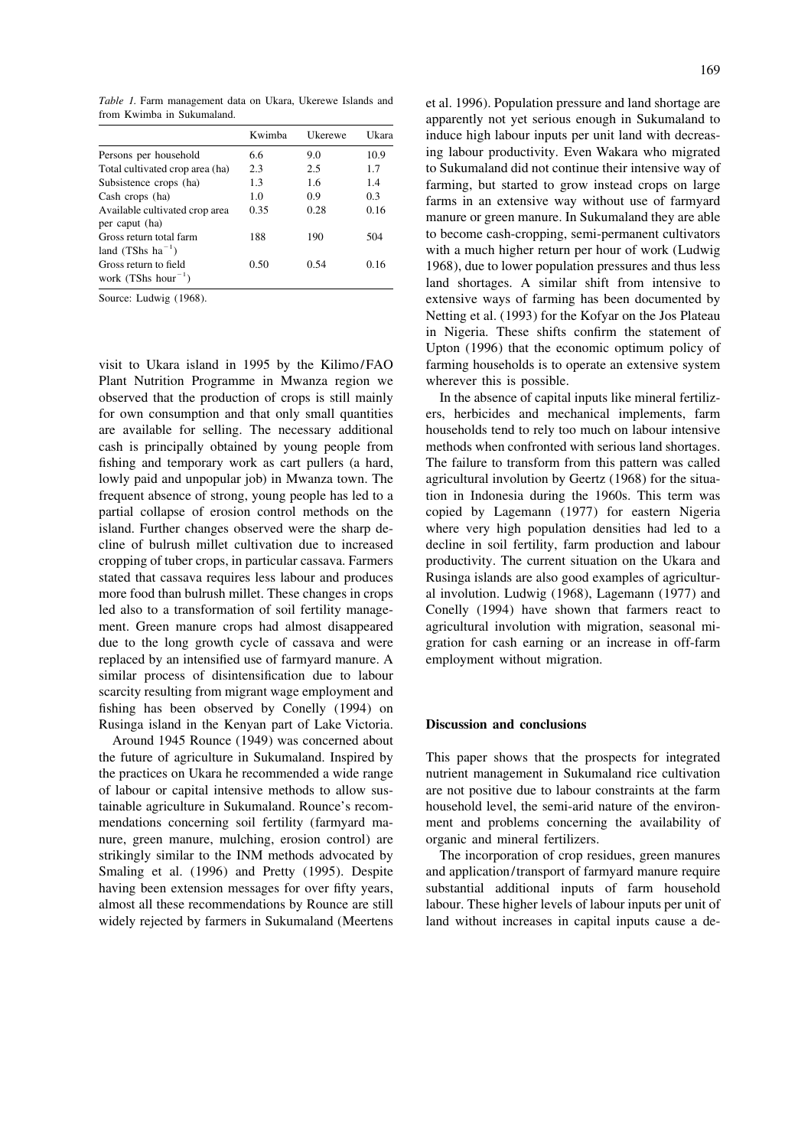|                                                                       | Kwimba | Ukerewe | Ukara |
|-----------------------------------------------------------------------|--------|---------|-------|
| Persons per household                                                 | 6.6    | 9.0     | 10.9  |
| Total cultivated crop area (ha)                                       | 2.3    | 2.5     | 1.7   |
| Subsistence crops (ha)                                                | 1.3    | 1.6     | 1.4   |
| Cash crops (ha)                                                       | 1.0    | 0.9     | 0.3   |
| Available cultivated crop area                                        | 0.35   | 0.28    | 0.16  |
| per caput (ha)                                                        |        |         |       |
| Gross return total farm                                               | 188    | 190     | 504   |
| land $(TShs'$ ha <sup>-1</sup> )                                      |        |         |       |
| Gross return to field<br>work (TShs hour <sup><math>-1</math></sup> ) | 0.50   | 0.54    | 0.16  |

visit to Ukara island in 1995 by the Kilimo/FAO farming households is to operate an extensive system Plant Nutrition Programme in Mwanza region we wherever this is possible. observed that the production of crops is still mainly In the absence of capital inputs like mineral fertilizfor own consumption and that only small quantities ers, herbicides and mechanical implements, farm are available for selling. The necessary additional households tend to rely too much on labour intensive cash is principally obtained by young people from methods when confronted with serious land shortages. fishing and temporary work as cart pullers (a hard, The failure to transform from this pattern was called lowly paid and unpopular job) in Mwanza town. The agricultural involution by Geertz (1968) for the situafrequent absence of strong, young people has led to a tion in Indonesia during the 1960s. This term was partial collapse of erosion control methods on the copied by Lagemann (1977) for eastern Nigeria island. Further changes observed were the sharp de- where very high population densities had led to a cline of bulrush millet cultivation due to increased decline in soil fertility, farm production and labour cropping of tuber crops, in particular cassava. Farmers productivity. The current situation on the Ukara and stated that cassava requires less labour and produces Rusinga islands are also good examples of agriculturmore food than bulrush millet. These changes in crops al involution. Ludwig (1968), Lagemann (1977) and led also to a transformation of soil fertility manage-<br>Conelly (1994) have shown that farmers react to ment. Green manure crops had almost disappeared agricultural involution with migration, seasonal midue to the long growth cycle of cassava and were gration for cash earning or an increase in off-farm replaced by an intensified use of farmyard manure. A employment without migration. similar process of disintensification due to labour scarcity resulting from migrant wage employment and fishing has been observed by Conelly (1994) on Rusinga island in the Kenyan part of Lake Victoria. **Discussion and conclusions**

Around 1945 Rounce (1949) was concerned about nure, green manure, mulching, erosion control) are organic and mineral fertilizers. strikingly similar to the INM methods advocated by The incorporation of crop residues, green manures widely rejected by farmers in Sukumaland (Meertens land without increases in capital inputs cause a de-

*Table 1.* Farm management data on Ukara, Ukerewe Islands and et al. 1996). Population pressure and land shortage are from Kwimba in Sukumaland. apparently not yet serious enough in Sukumaland to induce high labour inputs per unit land with decreasing labour productivity. Even Wakara who migrated to Sukumaland did not continue their intensive way of farming, but started to grow instead crops on large farms in an extensive way without use of farmyard manure or green manure. In Sukumaland they are able to become cash-cropping, semi-permanent cultivators with a much higher return per hour of work (Ludwig 1968), due to lower population pressures and thus less land shortages. A similar shift from intensive to Source: Ludwig (1968). extensive ways of farming has been documented by Netting et al. (1993) for the Kofyar on the Jos Plateau in Nigeria. These shifts confirm the statement of Upton (1996) that the economic optimum policy of

the future of agriculture in Sukumaland. Inspired by This paper shows that the prospects for integrated the practices on Ukara he recommended a wide range nutrient management in Sukumaland rice cultivation of labour or capital intensive methods to allow sus- are not positive due to labour constraints at the farm tainable agriculture in Sukumaland. Rounce's recom- household level, the semi-arid nature of the environmendations concerning soil fertility (farmyard ma- ment and problems concerning the availability of

Smaling et al. (1996) and Pretty (1995). Despite and application/transport of farmyard manure require having been extension messages for over fifty years, substantial additional inputs of farm household almost all these recommendations by Rounce are still labour. These higher levels of labour inputs per unit of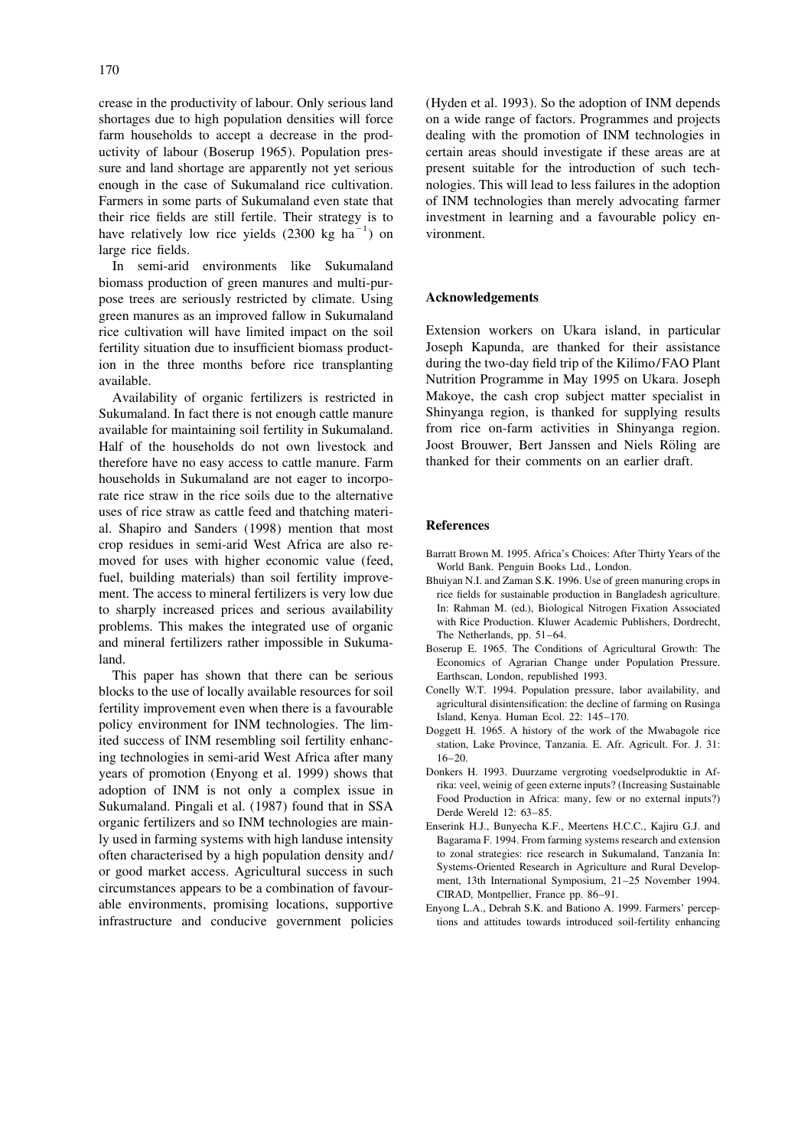crease in the productivity of labour. Only serious land (Hyden et al. 1993). So the adoption of INM depends their rice fields are still fertile. Their strategy is to investment in learning and a favourable policy en-<br>have relatively low rice yields (2300 kg ha<sup>-1</sup>) on vironment. large rice fields.

In semi-arid environments like Sukumaland biomass production of green manures and multi-purpose trees are seriously restricted by climate. Using **Acknowledgements** green manures as an improved fallow in Sukumaland rice cultivation will have limited impact on the soil Extension workers on Ukara island, in particular fertility situation due to insufficient biomass product- Joseph Kapunda, are thanked for their assistance ion in the three months before rice transplanting during the two-day field trip of the Kilimo/FAO Plant available. Nutrition Programme in May 1995 on Ukara. Joseph

Sukumaland. In fact there is not enough cattle manure Shinyanga region, is thanked for supplying results available for maintaining soil fertility in Sukumaland. from rice on-farm activities in Shinyanga region. Half of the households do not own livestock and Joost Brouwer, Bert Janssen and Niels Röling are therefore have no easy access to cattle manure. Farm thanked for their comments on an earlier draft. households in Sukumaland are not eager to incorporate rice straw in the rice soils due to the alternative uses of rice straw as cattle feed and thatching material. Shapiro and Sanders (1998) mention that most **References** crop residues in semi-arid West Africa are also re- Barratt Brown M. 1995. Africa's Choices: After Thirty Years of the moved for uses with higher economic value (feed, World Bank. Penguin Books Ltd., London. fuel, building materials) than soil fertility improve- Bhuiyan N.I. and Zaman S.K. 1996. Use of green manuring crops in ment. The access to mineral fertilizers is very low due<br>to sharply increased prices and serious availability and Rahman M. (ed.), Biological Nitrogen Fixation Associated to sharply increased prices and serious availability In: Rahman M. (ed.), Biological Nitrogen Fixation Associated<br>
with Rice Production. Kluwer Academic Publishers, Dordrecht, problems. This makes the integrated use of organic with Rice Production. Kluwer Academic Publishers, Dordrecht,<br>and mineral fertilizers rather impossible in Sukuma-<br>land<br>land

This paper has shown that there can be serious Earthscan, London, republished 1993. blocks to the use of locally available resources for soil Conelly W.T. 1994. Population pressure, labor availability, and fertility improvement even when there is a favourable agricultural disintensification: the decline o fertility improvement even when there is a favourable<br>policy environment for INM technologies. The lim-<br>Doggett H. 1965. A history of the work of the Mwabagole rice ited success of INM resembling soil fertility enhanc-<br>station, Lake Province, Tanzania. E. Afr. Agricult. For. J. 31: ing technologies in semi-arid West Africa after many 16–20. years of promotion (Enyong et al. 1999) shows that Donkers H. 1993. Duurzame vergroting voedselproduktie in Af-<br>
rika: veel, weinig of geen externe inputs? (Increasing Sustainable adoption of INM is not only a complex issue in<br>Sukumaland. Pingali et al. (1987) found that in SSA<br>Derde Wereld 12: 63–85. organic fertilizers and so INM technologies are main- Enserink H.J., Bunyecha K.F., Meertens H.C.C., Kajiru G.J. and ly used in farming systems with high landuse intensity Bagarama F. 1994. From farming systems research and extension often characterised by a high population density and/ to zonal strategies: rice research in Sukumaland, Tanzania In:<br>or good market access. A gricultural success in such Systems-Oriented Research in Agriculture and Rural D or good market access. Agricultural success in such<br>circumstances appears to be a combination of favour-<br>able environments, promising locations, supportive<br> $\frac{\text{EXstems-Oriented Research in Agriculture and Rural Development, 13th International Symposium, 21–25 November 1994.} {\text{CIRAD, Montpeller, France pp. 86–91.}}$ <br>Fr infrastructure and conducive government policies tions and attitudes towards introduced soil-fertility enhancing

shortages due to high population densities will force on a wide range of factors. Programmes and projects farm households to accept a decrease in the prod-<br>dealing with the promotion of INM technologies in uctivity of labour (Boserup 1965). Population pres- certain areas should investigate if these areas are at sure and land shortage are apparently not yet serious present suitable for the introduction of such techenough in the case of Sukumaland rice cultivation. nologies. This will lead to less failures in the adoption Farmers in some parts of Sukumaland even state that of INM technologies than merely advocating farmer

Availability of organic fertilizers is restricted in Makoye, the cash crop subject matter specialist in

- 
- 
- Economics of Agrarian Change under Population Pressure.
- 
- 
- 
- 
- Enyong L.A., Debrah S.K. and Bationo A. 1999. Farmers' percep-